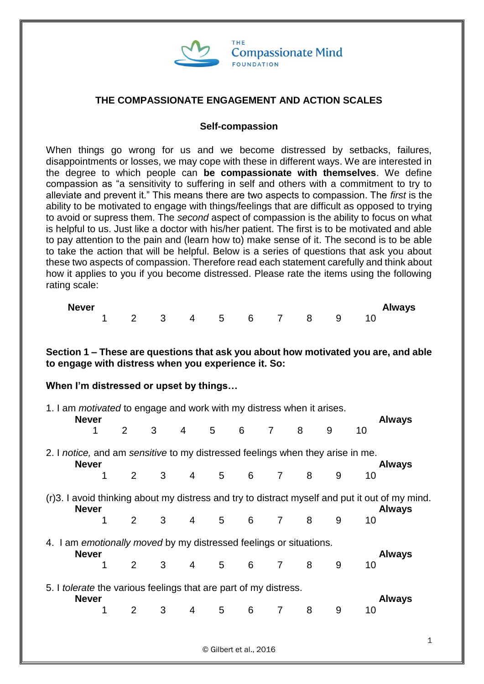

## **THE COMPASSIONATE ENGAGEMENT AND ACTION SCALES**

#### **Self-compassion**

When things go wrong for us and we become distressed by setbacks, failures, disappointments or losses, we may cope with these in different ways. We are interested in the degree to which people can **be compassionate with themselves**. We define compassion as "a sensitivity to suffering in self and others with a commitment to try to alleviate and prevent it." This means there are two aspects to compassion. The *first* is the ability to be motivated to engage with things/feelings that are difficult as opposed to trying to avoid or supress them. The *second* aspect of compassion is the ability to focus on what is helpful to us. Just like a doctor with his/her patient. The first is to be motivated and able to pay attention to the pain and (learn how to) make sense of it. The second is to be able to take the action that will be helpful. Below is a series of questions that ask you about these two aspects of compassion. Therefore read each statement carefully and think about how it applies to you if you become distressed. Please rate the items using the following rating scale:

| <b>Never</b> |  |  |  |  |                      | Always |
|--------------|--|--|--|--|----------------------|--------|
|              |  |  |  |  | 1 2 3 4 5 6 7 8 9 10 |        |

**Section 1 – These are questions that ask you about how motivated you are, and able to engage with distress when you experience it. So:** 

#### **When I'm distressed or upset by things…**

| 1. I am <i>motivated</i> to engage and work with my distress when it arises.<br><b>Never</b> |                                                                                                                                 |                |   |                |                |   |                |   |   |    |               |  |  |  |
|----------------------------------------------------------------------------------------------|---------------------------------------------------------------------------------------------------------------------------------|----------------|---|----------------|----------------|---|----------------|---|---|----|---------------|--|--|--|
|                                                                                              |                                                                                                                                 | 2 <sup>1</sup> | 3 | $\overline{4}$ | 5 <sub>5</sub> | 6 | $\overline{7}$ | 8 | 9 | 10 | <b>Always</b> |  |  |  |
|                                                                                              | 2. I notice, and am sensitive to my distressed feelings when they arise in me.<br><b>Never</b><br><b>Always</b>                 |                |   |                |                |   |                |   |   |    |               |  |  |  |
|                                                                                              | 1                                                                                                                               | $\overline{2}$ | 3 | 4              | 5              | 6 | $\overline{7}$ | 8 | 9 | 10 |               |  |  |  |
|                                                                                              | (r)3. I avoid thinking about my distress and try to distract myself and put it out of my mind.<br><b>Never</b><br><b>Always</b> |                |   |                |                |   |                |   |   |    |               |  |  |  |
|                                                                                              | 1                                                                                                                               | $\overline{2}$ | 3 | 4              | 5              | 6 | $\overline{7}$ | 8 | 9 | 10 |               |  |  |  |
| 4.                                                                                           | I am emotionally moved by my distressed feelings or situations.<br><b>Never</b>                                                 |                |   |                |                |   |                |   |   |    | <b>Always</b> |  |  |  |
|                                                                                              |                                                                                                                                 | $\overline{2}$ | 3 | $\overline{4}$ | 5              | 6 | $\overline{7}$ | 8 | 9 | 10 |               |  |  |  |
|                                                                                              | 5. I tolerate the various feelings that are part of my distress.<br><b>Never</b>                                                |                |   |                |                |   |                |   |   |    | <b>Always</b> |  |  |  |
|                                                                                              | 1                                                                                                                               | $\overline{2}$ | 3 | 4              | 5              | 6 | $\overline{7}$ | 8 | 9 | 10 |               |  |  |  |
|                                                                                              |                                                                                                                                 |                |   |                |                |   |                |   |   |    |               |  |  |  |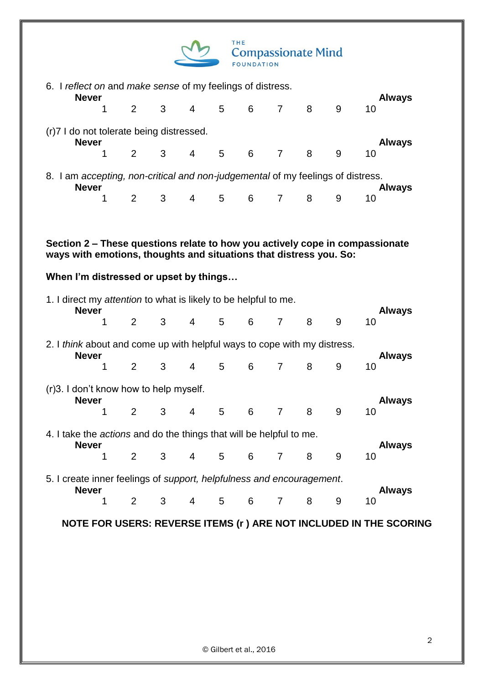| THE.<br><b>Compassionate Mind</b> |
|-----------------------------------|
| <b>FOUNDATION</b>                 |

| 6. I reflect on and make sense of my feelings of distress.<br><b>Never</b>                      |                                                          |                |   |                |                |   |                |   |   |                                                                              |  |  |  |
|-------------------------------------------------------------------------------------------------|----------------------------------------------------------|----------------|---|----------------|----------------|---|----------------|---|---|------------------------------------------------------------------------------|--|--|--|
|                                                                                                 | 1                                                        | 2              | 3 | $\overline{4}$ | 5              | 6 | $\overline{7}$ | 8 | 9 | <b>Always</b><br>10                                                          |  |  |  |
|                                                                                                 | (r)7 I do not tolerate being distressed.<br><b>Never</b> |                |   |                |                |   |                |   |   |                                                                              |  |  |  |
|                                                                                                 | 1                                                        | 2              | 3 | $\overline{4}$ | 5              | 6 | $\overline{7}$ | 8 | 9 | <b>Always</b><br>10                                                          |  |  |  |
| 8. I am accepting, non-critical and non-judgemental of my feelings of distress.<br><b>Never</b> |                                                          |                |   |                |                |   |                |   |   | <b>Always</b>                                                                |  |  |  |
|                                                                                                 | 1                                                        | 2              | 3 | $\overline{4}$ | 5 <sub>5</sub> | 6 | $\overline{7}$ | 8 | 9 | 10                                                                           |  |  |  |
|                                                                                                 |                                                          |                |   |                |                |   |                |   |   |                                                                              |  |  |  |
|                                                                                                 |                                                          |                |   |                |                |   |                |   |   | Section 2 – These questions relate to how you actively cope in compassionate |  |  |  |
| ways with emotions, thoughts and situations that distress you. So:                              |                                                          |                |   |                |                |   |                |   |   |                                                                              |  |  |  |
| When I'm distressed or upset by things                                                          |                                                          |                |   |                |                |   |                |   |   |                                                                              |  |  |  |
| 1. I direct my attention to what is likely to be helpful to me.<br><b>Never</b>                 |                                                          |                |   |                |                |   |                |   |   | <b>Always</b>                                                                |  |  |  |
|                                                                                                 | 1                                                        | $\overline{2}$ | 3 | $\overline{4}$ | 5              | 6 | $\overline{7}$ | 8 | 9 | 10                                                                           |  |  |  |
| 2. I think about and come up with helpful ways to cope with my distress.                        |                                                          |                |   |                |                |   |                |   |   |                                                                              |  |  |  |
| <b>Never</b>                                                                                    | 1                                                        | $\overline{2}$ | 3 | $\overline{4}$ | 5              | 6 | $\overline{7}$ | 8 | 9 | <b>Always</b><br>10                                                          |  |  |  |
| (r) 3. I don't know how to help myself.                                                         |                                                          |                |   |                |                |   |                |   |   |                                                                              |  |  |  |
| <b>Never</b>                                                                                    | 1                                                        | 2              | 3 | $\overline{4}$ | 5              | 6 | $\overline{7}$ | 8 | 9 | <b>Always</b><br>10                                                          |  |  |  |
| 4. I take the <i>actions</i> and do the things that will be helpful to me.                      |                                                          |                |   |                |                |   |                |   |   |                                                                              |  |  |  |
| <b>Never</b>                                                                                    | 1                                                        | 2              | 3 | $\overline{4}$ | 5              | 6 | $\overline{7}$ | 8 | 9 | <b>Always</b><br>10                                                          |  |  |  |
|                                                                                                 |                                                          |                |   |                |                |   |                |   |   |                                                                              |  |  |  |
| 5. I create inner feelings of support, helpfulness and encouragement.<br><b>Never</b>           |                                                          |                |   |                |                |   |                |   |   | <b>Always</b>                                                                |  |  |  |
|                                                                                                 | 1                                                        | 2              | 3 | $\overline{4}$ | 5              | 6 | $\overline{7}$ | 8 | 9 | 10                                                                           |  |  |  |
|                                                                                                 |                                                          |                |   |                |                |   |                |   |   |                                                                              |  |  |  |

**NOTE FOR USERS: REVERSE ITEMS (r ) ARE NOT INCLUDED IN THE SCORING**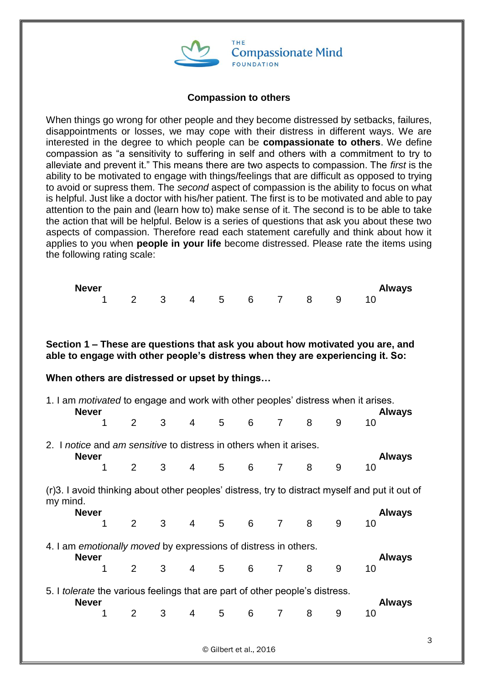

#### **Compassion to others**

When things go wrong for other people and they become distressed by setbacks, failures, disappointments or losses, we may cope with their distress in different ways. We are interested in the degree to which people can be **compassionate to others**. We define compassion as "a sensitivity to suffering in self and others with a commitment to try to alleviate and prevent it." This means there are two aspects to compassion. The *first* is the ability to be motivated to engage with things/feelings that are difficult as opposed to trying to avoid or supress them. The *second* aspect of compassion is the ability to focus on what is helpful. Just like a doctor with his/her patient. The first is to be motivated and able to pay attention to the pain and (learn how to) make sense of it. The second is to be able to take the action that will be helpful. Below is a series of questions that ask you about these two aspects of compassion. Therefore read each statement carefully and think about how it applies to you when **people in your life** become distressed. Please rate the items using the following rating scale:

| <b>Never</b>      |  |  |  |  | Always |
|-------------------|--|--|--|--|--------|
| 1 2 3 4 5 6 7 8 9 |  |  |  |  |        |

**Section 1 – These are questions that ask you about how motivated you are, and able to engage with other people's distress when they are experiencing it. So:** 

#### **When others are distressed or upset by things…**

| 1. I am <i>motivated</i> to engage and work with other peoples' distress when it arises.<br><b>Never</b> |   |                |                |                 |                |   |                |   |   | <b>Always</b>                                                                                  |
|----------------------------------------------------------------------------------------------------------|---|----------------|----------------|-----------------|----------------|---|----------------|---|---|------------------------------------------------------------------------------------------------|
|                                                                                                          | 1 | 2              | 3              | $\overline{4}$  | 5              | 6 | 7              | 8 | 9 | 10                                                                                             |
| 2. I notice and am sensitive to distress in others when it arises.<br><b>Never</b>                       |   |                |                |                 |                |   |                |   |   | <b>Always</b>                                                                                  |
|                                                                                                          |   | $\overline{2}$ | 3 <sup>1</sup> | $4 \quad$       | $5^{\circ}$    | 6 | 7              | 8 | 9 | 10                                                                                             |
| my mind.                                                                                                 |   |                |                |                 |                |   |                |   |   | (r)3. I avoid thinking about other peoples' distress, try to distract myself and put it out of |
| <b>Never</b>                                                                                             | 1 | $\mathbf{2}$   | 3 <sup>1</sup> | $4\overline{ }$ | 5 <sub>1</sub> | 6 | $\overline{7}$ | 8 | 9 | <b>Always</b><br>10                                                                            |
| 4. I am emotionally moved by expressions of distress in others.<br><b>Never</b>                          |   |                |                |                 |                |   |                |   |   | <b>Always</b>                                                                                  |
|                                                                                                          |   | $\overline{2}$ | 3              | 4               | 5 <sup>5</sup> | 6 | $\overline{7}$ | 8 | 9 | 10                                                                                             |
| 5. I tolerate the various feelings that are part of other people's distress.<br><b>Never</b>             |   |                |                |                 |                |   |                |   |   | <b>Always</b>                                                                                  |
|                                                                                                          | 1 | $\overline{2}$ | 3 <sup>1</sup> | $\overline{4}$  | 5              | 6 | 7              | 8 | 9 | 10                                                                                             |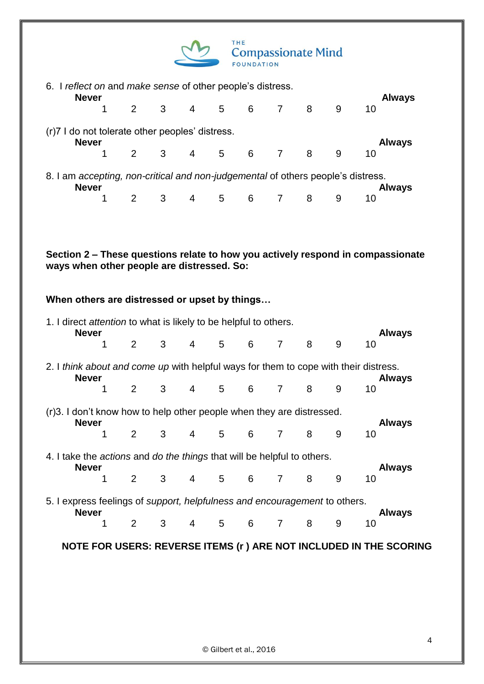

| 6. I reflect on and make sense of other people's distress.<br><b>Never</b>       |  |                         |                |                |                 |                |                |   | <b>Always</b> |  |
|----------------------------------------------------------------------------------|--|-------------------------|----------------|----------------|-----------------|----------------|----------------|---|---------------|--|
|                                                                                  |  |                         |                |                |                 | 1 2 3 4 5 6 7  | 8              | 9 | 10            |  |
| (r)7 I do not tolerate other peoples' distress.<br><b>Never</b>                  |  |                         |                |                |                 |                |                |   | <b>Always</b> |  |
|                                                                                  |  |                         |                |                |                 | 2 3 4 5 6 7    | 8 <sup>8</sup> | 9 | 10            |  |
| 8. I am accepting, non-critical and non-judgemental of others people's distress. |  |                         |                |                |                 |                |                |   |               |  |
| <b>Never</b>                                                                     |  |                         |                |                |                 |                |                |   | <b>Always</b> |  |
|                                                                                  |  | $\overline{\mathbf{3}}$ | $\overline{4}$ | 5 <sup>5</sup> | $6\overline{6}$ | $\overline{7}$ | 8              |   | 10            |  |

**Section 2 – These questions relate to how you actively respond in compassionate ways when other people are distressed. So:** 

**When others are distressed or upset by things…**

|                                                                                       | 1. I direct attention to what is likely to be helpful to others.<br><b>Never</b> |                |   |                |                 |   |                |   |   |                                                                                                       |  |  |  |
|---------------------------------------------------------------------------------------|----------------------------------------------------------------------------------|----------------|---|----------------|-----------------|---|----------------|---|---|-------------------------------------------------------------------------------------------------------|--|--|--|
|                                                                                       |                                                                                  | 2              | 3 | 4              | 5               | 6 | $\overline{7}$ | 8 | 9 | <b>Always</b><br>10                                                                                   |  |  |  |
|                                                                                       | <b>Never</b>                                                                     |                |   |                |                 |   |                |   |   | 2. I think about and come up with helpful ways for them to cope with their distress.<br><b>Always</b> |  |  |  |
|                                                                                       |                                                                                  | $\overline{2}$ | 3 | 4              | $5\overline{)}$ | 6 | $\overline{7}$ | 8 | 9 | 10                                                                                                    |  |  |  |
| (r)3. I don't know how to help other people when they are distressed.                 | <b>Never</b>                                                                     |                |   |                |                 |   |                |   |   | <b>Always</b>                                                                                         |  |  |  |
|                                                                                       |                                                                                  | $\overline{2}$ | 3 | $\overline{4}$ | $5\overline{)}$ | 6 | $\overline{7}$ | 8 | 9 | 10                                                                                                    |  |  |  |
| 4. I take the <i>actions</i> and <i>do the things</i> that will be helpful to others. |                                                                                  |                |   |                |                 |   |                |   |   |                                                                                                       |  |  |  |
|                                                                                       | <b>Never</b><br>1                                                                | $\overline{2}$ | 3 | 4              | 5               | 6 | $\overline{7}$ | 8 | 9 | <b>Always</b><br>10                                                                                   |  |  |  |
| 5. I express feelings of support, helpfulness and encouragement to others.            |                                                                                  |                |   |                |                 |   |                |   |   |                                                                                                       |  |  |  |
|                                                                                       | <b>Never</b>                                                                     | $\overline{2}$ | 3 | $\overline{4}$ | 5               | 6 | $\overline{7}$ | 8 | 9 | <b>Always</b><br>10                                                                                   |  |  |  |
|                                                                                       |                                                                                  |                |   |                |                 |   |                |   |   | NOTE FOR USERS: REVERSE ITEMS (r ) ARE NOT INCLUDED IN THE SCORING                                    |  |  |  |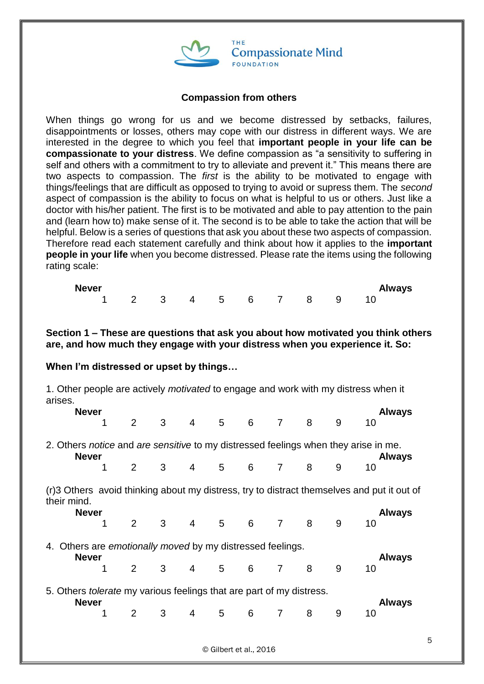

## **Compassion from others**

When things go wrong for us and we become distressed by setbacks, failures, disappointments or losses, others may cope with our distress in different ways. We are interested in the degree to which you feel that **important people in your life can be compassionate to your distress**. We define compassion as "a sensitivity to suffering in self and others with a commitment to try to alleviate and prevent it." This means there are two aspects to compassion. The *first* is the ability to be motivated to engage with things/feelings that are difficult as opposed to trying to avoid or supress them. The *second* aspect of compassion is the ability to focus on what is helpful to us or others. Just like a doctor with his/her patient. The first is to be motivated and able to pay attention to the pain and (learn how to) make sense of it. The second is to be able to take the action that will be helpful. Below is a series of questions that ask you about these two aspects of compassion. Therefore read each statement carefully and think about how it applies to the **important people in your life** when you become distressed. Please rate the items using the following rating scale:

| <b>Never</b>         |  |  |  |  | <b>Always</b> |
|----------------------|--|--|--|--|---------------|
| 1 2 3 4 5 6 7 8 9 10 |  |  |  |  |               |

**Section 1 – These are questions that ask you about how motivated you think others are, and how much they engage with your distress when you experience it. So:**

## **When I'm distressed or upset by things…**

1. Other people are actively *motivated* to engage and work with my distress when it arises.

|                                                                                                                      | <b>Never</b>                                                                |                |                |                |                 |   |                |   |   | <b>Always</b>                                                                              |  |  |  |
|----------------------------------------------------------------------------------------------------------------------|-----------------------------------------------------------------------------|----------------|----------------|----------------|-----------------|---|----------------|---|---|--------------------------------------------------------------------------------------------|--|--|--|
|                                                                                                                      |                                                                             | $\overline{2}$ | 3              | $\overline{4}$ | 5 <sub>5</sub>  | 6 | $\overline{7}$ | 8 | 9 | 10                                                                                         |  |  |  |
| 2. Others notice and are sensitive to my distressed feelings when they arise in me.<br><b>Never</b><br><b>Always</b> |                                                                             |                |                |                |                 |   |                |   |   |                                                                                            |  |  |  |
|                                                                                                                      |                                                                             | $\overline{2}$ | 3 <sup>7</sup> | $\overline{4}$ | 5 <sub>5</sub>  | 6 | 7              | 8 | 9 | 10                                                                                         |  |  |  |
| their mind.                                                                                                          |                                                                             |                |                |                |                 |   |                |   |   | (r)3 Others avoid thinking about my distress, try to distract themselves and put it out of |  |  |  |
|                                                                                                                      | <b>Never</b>                                                                |                |                |                |                 |   |                |   |   | <b>Always</b>                                                                              |  |  |  |
|                                                                                                                      |                                                                             | $\overline{2}$ | 3 <sup>1</sup> | $\overline{4}$ | $5\overline{)}$ | 6 | $\overline{7}$ | 8 | 9 | 10                                                                                         |  |  |  |
| 4.                                                                                                                   | Others are <i>emotionally moved</i> by my distressed feelings.              |                |                |                |                 |   |                |   |   |                                                                                            |  |  |  |
|                                                                                                                      | <b>Never</b><br>1                                                           | $\overline{2}$ | 3              | $\overline{4}$ | 5               | 6 | 7              | 8 | 9 | <b>Always</b><br>10                                                                        |  |  |  |
|                                                                                                                      | 5. Others <i>tolerate</i> my various feelings that are part of my distress. |                |                |                |                 |   |                |   |   |                                                                                            |  |  |  |
|                                                                                                                      | <b>Never</b>                                                                | 2              | 3              | 4              | 5               | 6 | 7              | 8 | 9 | <b>Always</b><br>10                                                                        |  |  |  |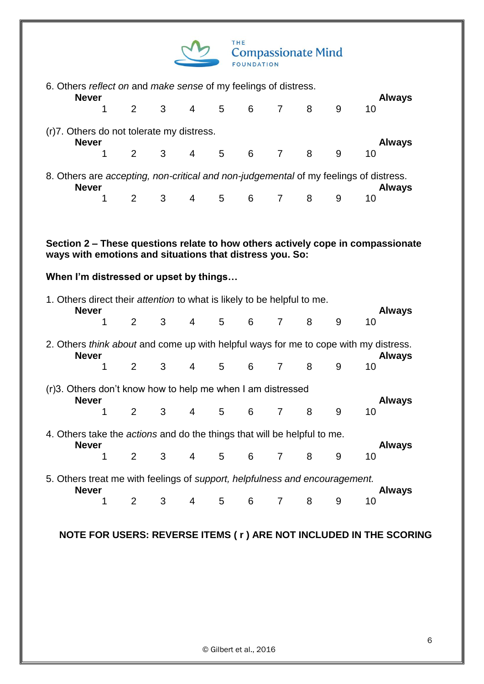

| 6. Others reflect on and make sense of my feelings of distress.<br><b>Never</b>                    |                   |                |   |                |                |   |                |   |   |                                                                                                        |  |  |  |
|----------------------------------------------------------------------------------------------------|-------------------|----------------|---|----------------|----------------|---|----------------|---|---|--------------------------------------------------------------------------------------------------------|--|--|--|
|                                                                                                    | 1                 | 2              | 3 | 4              | 5              | 6 | $\overline{7}$ | 8 | 9 | <b>Always</b><br>10                                                                                    |  |  |  |
| (r)7. Others do not tolerate my distress.                                                          | <b>Never</b>      |                |   |                |                |   |                |   |   | <b>Always</b>                                                                                          |  |  |  |
|                                                                                                    | 1                 | $\overline{2}$ | 3 | $\overline{4}$ | 5              | 6 | $\overline{7}$ | 8 | 9 | 10                                                                                                     |  |  |  |
|                                                                                                    | <b>Never</b>      |                |   |                |                |   |                |   |   | 8. Others are accepting, non-critical and non-judgemental of my feelings of distress.<br><b>Always</b> |  |  |  |
|                                                                                                    | 1                 | 2              | 3 | 4              | 5              | 6 | $\overline{7}$ | 8 | 9 | 10                                                                                                     |  |  |  |
|                                                                                                    |                   |                |   |                |                |   |                |   |   |                                                                                                        |  |  |  |
|                                                                                                    |                   |                |   |                |                |   |                |   |   | Section 2 – These questions relate to how others actively cope in compassionate                        |  |  |  |
| ways with emotions and situations that distress you. So:<br>When I'm distressed or upset by things |                   |                |   |                |                |   |                |   |   |                                                                                                        |  |  |  |
| 1. Others direct their attention to what is likely to be helpful to me.                            | <b>Never</b>      |                |   |                |                |   |                |   |   | <b>Always</b>                                                                                          |  |  |  |
|                                                                                                    | 1                 | $\overline{2}$ | 3 | $\overline{4}$ | 5              | 6 | $\overline{7}$ | 8 | 9 | 10                                                                                                     |  |  |  |
|                                                                                                    | <b>Never</b>      |                |   |                |                |   |                |   |   | 2. Others think about and come up with helpful ways for me to cope with my distress.<br><b>Always</b>  |  |  |  |
|                                                                                                    | 1                 | 2              | 3 | $\overline{4}$ | 5              | 6 | $\overline{7}$ | 8 | 9 | 10                                                                                                     |  |  |  |
| (r)3. Others don't know how to help me when I am distressed                                        | <b>Never</b>      |                |   |                |                |   |                |   |   | <b>Always</b>                                                                                          |  |  |  |
|                                                                                                    | 1                 | $\overline{2}$ | 3 | $\overline{4}$ | 5              | 6 | $\overline{7}$ | 8 | 9 | 10                                                                                                     |  |  |  |
| 4. Others take the <i>actions</i> and do the things that will be helpful to me.                    |                   |                |   |                |                |   |                |   |   |                                                                                                        |  |  |  |
|                                                                                                    | <b>Never</b><br>1 | $\overline{2}$ | 3 | $\overline{4}$ | 5 <sup>5</sup> | 6 | $\overline{7}$ | 8 | 9 | <b>Always</b><br>10                                                                                    |  |  |  |
| 5. Others treat me with feelings of support, helpfulness and encouragement.                        |                   |                |   |                |                |   |                |   |   |                                                                                                        |  |  |  |
|                                                                                                    | <b>Never</b><br>1 | $\overline{2}$ | 3 | 4              | 5              | 6 | $\overline{7}$ | 8 | 9 | <b>Always</b><br>10                                                                                    |  |  |  |

# **NOTE FOR USERS: REVERSE ITEMS ( r ) ARE NOT INCLUDED IN THE SCORING**